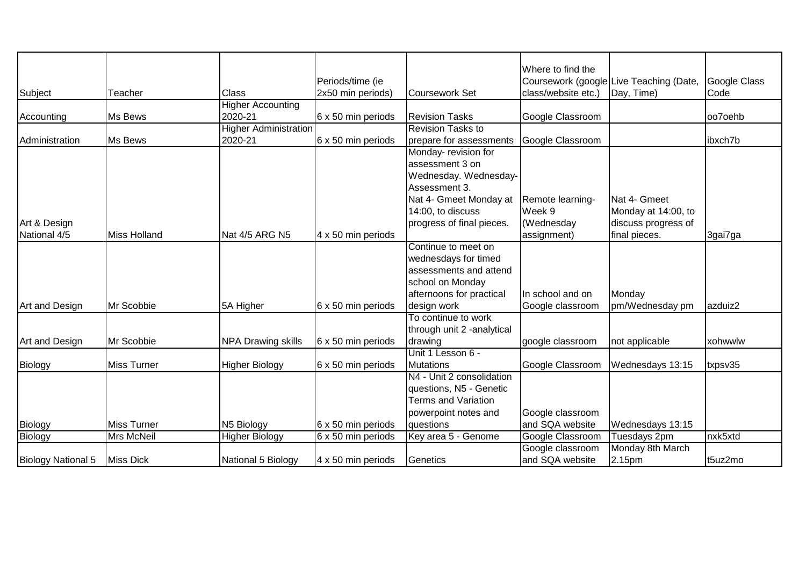|                    |                     |                              |                    |                             | Where to find the   |                                         |              |
|--------------------|---------------------|------------------------------|--------------------|-----------------------------|---------------------|-----------------------------------------|--------------|
|                    |                     |                              | Periods/time (ie   |                             |                     | Coursework (google Live Teaching (Date, | Google Class |
| Subject            | Teacher             | Class                        | 2x50 min periods)  | Coursework Set              | class/website etc.) | Day, Time)                              | Code         |
|                    |                     | <b>Higher Accounting</b>     |                    |                             |                     |                                         |              |
| Accounting         | Ms Bews             | 2020-21                      | 6 x 50 min periods | <b>Revision Tasks</b>       | Google Classroom    |                                         | oo7oehb      |
|                    |                     | <b>Higher Administration</b> |                    | <b>Revision Tasks to</b>    |                     |                                         |              |
| Administration     | Ms Bews             | 2020-21                      | 6 x 50 min periods | prepare for assessments     | Google Classroom    |                                         | ibxch7b      |
|                    |                     |                              |                    | Monday- revision for        |                     |                                         |              |
|                    |                     |                              |                    | assessment 3 on             |                     |                                         |              |
|                    |                     |                              |                    | Wednesday. Wednesday-       |                     |                                         |              |
|                    |                     |                              |                    | Assessment 3.               |                     |                                         |              |
|                    |                     |                              |                    | Nat 4- Gmeet Monday at      | Remote learning-    | Nat 4- Gmeet                            |              |
|                    |                     |                              |                    | 14:00, to discuss           | Week 9              | Monday at 14:00, to                     |              |
| Art & Design       |                     |                              |                    | progress of final pieces.   | (Wednesday          | discuss progress of                     |              |
| National 4/5       | <b>Miss Holland</b> | Nat 4/5 ARG N5               | 4 x 50 min periods |                             | assignment)         | final pieces.                           | 3gai7ga      |
|                    |                     |                              |                    | Continue to meet on         |                     |                                         |              |
|                    |                     |                              |                    | wednesdays for timed        |                     |                                         |              |
|                    |                     |                              |                    | assessments and attend      |                     |                                         |              |
|                    |                     |                              |                    | school on Monday            |                     |                                         |              |
|                    |                     |                              |                    | afternoons for practical    | In school and on    | Monday                                  |              |
| Art and Design     | Mr Scobbie          | 5A Higher                    | 6 x 50 min periods | design work                 | Google classroom    | pm/Wednesday pm                         | azduiz2      |
|                    |                     |                              |                    | To continue to work         |                     |                                         |              |
|                    |                     |                              |                    | through unit 2 - analytical |                     |                                         |              |
| Art and Design     | Mr Scobbie          | <b>NPA Drawing skills</b>    | 6 x 50 min periods | drawing                     | google classroom    | not applicable                          | xohwwlw      |
|                    |                     |                              |                    | Unit 1 Lesson 6 -           |                     |                                         |              |
| Biology            | <b>Miss Turner</b>  | <b>Higher Biology</b>        | 6 x 50 min periods | <b>Mutations</b>            | Google Classroom    | Wednesdays 13:15                        | txpsv35      |
|                    |                     |                              |                    | N4 - Unit 2 consolidation   |                     |                                         |              |
|                    |                     |                              |                    | questions, N5 - Genetic     |                     |                                         |              |
|                    |                     |                              |                    | <b>Terms and Variation</b>  |                     |                                         |              |
|                    |                     |                              |                    | powerpoint notes and        | Google classroom    |                                         |              |
| Biology            | <b>Miss Turner</b>  | N5 Biology                   | 6 x 50 min periods | <b>questions</b>            | and SQA website     | Wednesdays 13:15                        |              |
| Biology            | <b>Mrs McNeil</b>   | <b>Higher Biology</b>        | 6 x 50 min periods | Key area 5 - Genome         | Google Classroom    | Tuesdays 2pm                            | nxk5xtd      |
|                    |                     |                              |                    |                             | Google classroom    | Monday 8th March                        |              |
| Biology National 5 | <b>Miss Dick</b>    | National 5 Biology           | 4 x 50 min periods | Genetics                    | and SQA website     | 2.15pm                                  | t5uz2mo      |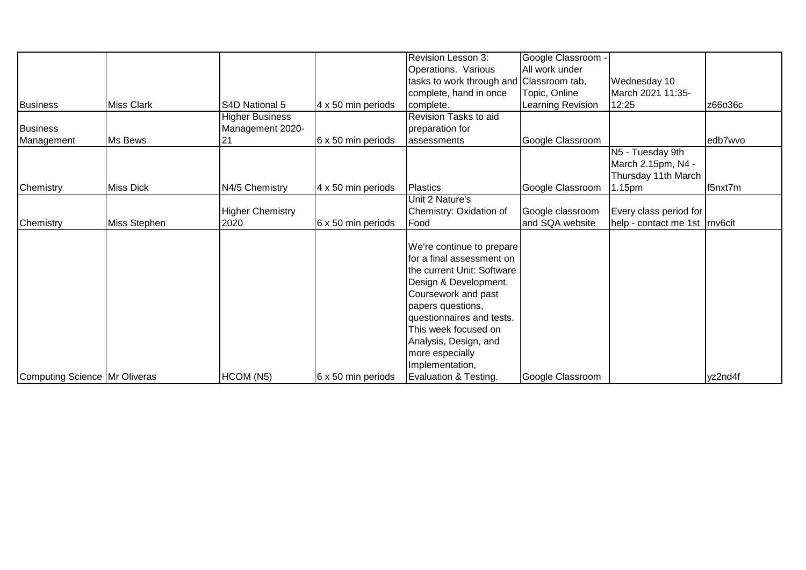|                                      |                   |                             |                    | Revision Lesson 3:                       | Google Classroom - |                                 |         |
|--------------------------------------|-------------------|-----------------------------|--------------------|------------------------------------------|--------------------|---------------------------------|---------|
|                                      |                   |                             |                    | Operations. Various                      | All work under     |                                 |         |
|                                      |                   |                             |                    | tasks to work through and Classroom tab, |                    | Wednesday 10                    |         |
|                                      |                   |                             |                    | complete, hand in once                   | Topic, Online      | March 2021 11:35-               |         |
| <b>Business</b>                      | <b>Miss Clark</b> | S <sub>4</sub> D National 5 | 4 x 50 min periods | complete.                                | Learning Revision  | 12:25                           | z66o36c |
|                                      |                   | <b>Higher Business</b>      |                    | Revision Tasks to aid                    |                    |                                 |         |
| <b>Business</b>                      |                   | Management 2020-            |                    | preparation for                          |                    |                                 |         |
| Management                           | Ms Bews           | 21                          | 6 x 50 min periods | lassessments                             | Google Classroom   |                                 | edb7wvo |
|                                      |                   |                             |                    |                                          |                    | N5 - Tuesday 9th                |         |
|                                      |                   |                             |                    |                                          |                    | March 2.15pm, N4 -              |         |
|                                      |                   |                             |                    |                                          |                    | Thursday 11th March             |         |
| Chemistry                            | <b>Miss Dick</b>  | N4/5 Chemistry              | 4 x 50 min periods | Plastics                                 | Google Classroom   | 1.15pm                          | f5nxt7m |
|                                      |                   |                             |                    | Unit 2 Nature's                          |                    |                                 |         |
|                                      |                   | <b>Higher Chemistry</b>     |                    | Chemistry: Oxidation of                  | Google classroom   | Every class period for          |         |
| Chemistry                            | Miss Stephen      | 2020                        | 6 x 50 min periods | Food                                     | and SQA website    | help - contact me 1st   rnv6cit |         |
|                                      |                   |                             |                    |                                          |                    |                                 |         |
|                                      |                   |                             |                    | We're continue to prepare                |                    |                                 |         |
|                                      |                   |                             |                    | for a final assessment on                |                    |                                 |         |
|                                      |                   |                             |                    | the current Unit: Software               |                    |                                 |         |
|                                      |                   |                             |                    | Design & Development.                    |                    |                                 |         |
|                                      |                   |                             |                    | Coursework and past                      |                    |                                 |         |
|                                      |                   |                             |                    | papers questions,                        |                    |                                 |         |
|                                      |                   |                             |                    | questionnaires and tests.                |                    |                                 |         |
|                                      |                   |                             |                    | This week focused on                     |                    |                                 |         |
|                                      |                   |                             |                    | Analysis, Design, and                    |                    |                                 |         |
|                                      |                   |                             |                    | more especially                          |                    |                                 |         |
|                                      |                   |                             |                    | Implementation,                          |                    |                                 |         |
| <b>Computing Science Mr Oliveras</b> |                   | HCOM (N5)                   | 6 x 50 min periods | Evaluation & Testing.                    | Google Classroom   |                                 | yz2nd4f |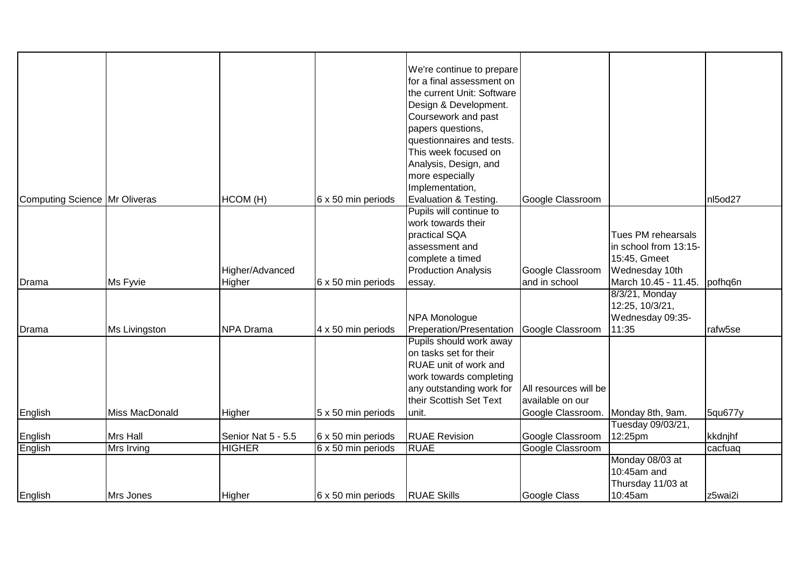| Computing Science Mr Oliveras |                | HCOM (H)<br>Higher/Advanced | 6 x 50 min periods        | We're continue to prepare<br>for a final assessment on<br>the current Unit: Software<br>Design & Development.<br>Coursework and past<br>papers questions,<br>questionnaires and tests.<br>This week focused on<br>Analysis, Design, and<br>more especially<br>Implementation,<br>Evaluation & Testing.<br>Pupils will continue to<br>work towards their<br>practical SQA<br>assessment and<br>complete a timed<br><b>Production Analysis</b> | Google Classroom<br>Google Classroom                           | Tues PM rehearsals<br>in school from 13:15-<br>15:45, Gmeet<br>Wednesday 10th | nl5od27 |
|-------------------------------|----------------|-----------------------------|---------------------------|----------------------------------------------------------------------------------------------------------------------------------------------------------------------------------------------------------------------------------------------------------------------------------------------------------------------------------------------------------------------------------------------------------------------------------------------|----------------------------------------------------------------|-------------------------------------------------------------------------------|---------|
| Drama                         | Ms Fyvie       | Higher                      | 6 x 50 min periods        | essay.                                                                                                                                                                                                                                                                                                                                                                                                                                       | and in school                                                  | March 10.45 - 11.45. pofhq6n                                                  |         |
| Drama                         | Ms Livingston  | NPA Drama                   | 4 x 50 min periods        | NPA Monologue<br>Preperation/Presentation                                                                                                                                                                                                                                                                                                                                                                                                    | Google Classroom                                               | 8/3/21, Monday<br>12:25, 10/3/21,<br>Wednesday 09:35-<br>11:35                | rafw5se |
| English                       | Miss MacDonald | Higher                      | 5 x 50 min periods        | Pupils should work away<br>on tasks set for their<br>RUAE unit of work and<br>work towards completing<br>any outstanding work for<br>their Scottish Set Text<br>lunit.                                                                                                                                                                                                                                                                       | All resources will be<br>available on our<br>Google Classroom. | Monday 8th, 9am.                                                              | 5qu677y |
|                               |                |                             |                           |                                                                                                                                                                                                                                                                                                                                                                                                                                              |                                                                | Tuesday 09/03/21,                                                             |         |
| English                       | Mrs Hall       | Senior Nat 5 - 5.5          | 6 x 50 min periods        | <b>RUAE Revision</b>                                                                                                                                                                                                                                                                                                                                                                                                                         | Google Classroom                                               | 12:25pm                                                                       | kkdnjhf |
| English                       | Mrs Irving     | <b>HIGHER</b>               | 6 x 50 min periods        | <b>RUAE</b>                                                                                                                                                                                                                                                                                                                                                                                                                                  | Google Classroom                                               |                                                                               | cacfuaq |
| English                       | Mrs Jones      | Higher                      | $6 \times 50$ min periods | <b>RUAE Skills</b>                                                                                                                                                                                                                                                                                                                                                                                                                           | Google Class                                                   | Monday 08/03 at<br>10:45am and<br>Thursday 11/03 at<br>10:45am                | z5wai2i |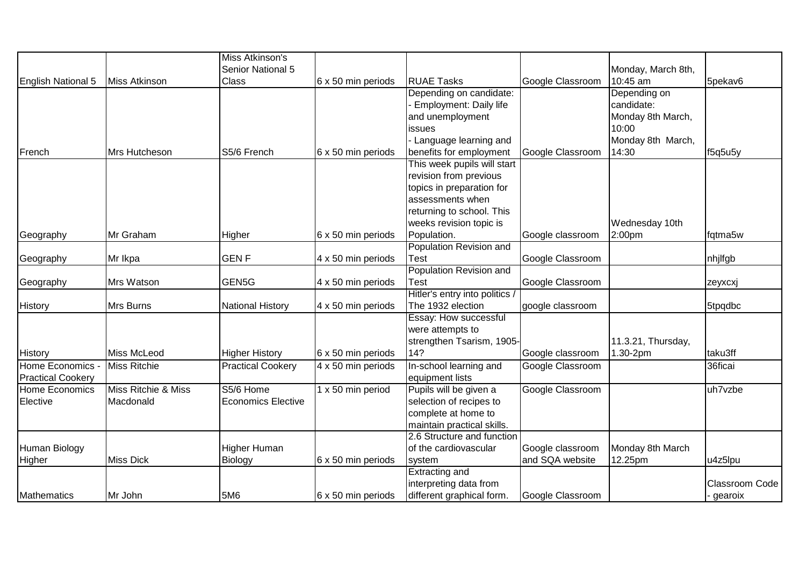|                          |                     | Miss Atkinson's           |                    |                                |                  |                    |                |
|--------------------------|---------------------|---------------------------|--------------------|--------------------------------|------------------|--------------------|----------------|
|                          |                     | Senior National 5         |                    |                                |                  | Monday, March 8th, |                |
| English National 5       | Miss Atkinson       | <b>Class</b>              | 6 x 50 min periods | <b>RUAE Tasks</b>              | Google Classroom | 10:45 am           | 5pekav6        |
|                          |                     |                           |                    | Depending on candidate:        |                  | Depending on       |                |
|                          |                     |                           |                    | <b>Employment: Daily life</b>  |                  | candidate:         |                |
|                          |                     |                           |                    | and unemployment               |                  | Monday 8th March,  |                |
|                          |                     |                           |                    | issues                         |                  | 10:00              |                |
|                          |                     |                           |                    | Language learning and          |                  | Monday 8th March,  |                |
| French                   | Mrs Hutcheson       | S5/6 French               | 6 x 50 min periods | benefits for employment        | Google Classroom | 14:30              | f5q5u5y        |
|                          |                     |                           |                    | This week pupils will start    |                  |                    |                |
|                          |                     |                           |                    | revision from previous         |                  |                    |                |
|                          |                     |                           |                    | topics in preparation for      |                  |                    |                |
|                          |                     |                           |                    | assessments when               |                  |                    |                |
|                          |                     |                           |                    | returning to school. This      |                  |                    |                |
|                          |                     |                           |                    | weeks revision topic is        |                  | Wednesday 10th     |                |
| Geography                | Mr Graham           | Higher                    | 6 x 50 min periods | Population.                    | Google classroom | 2:00pm             | fqtma5w        |
|                          |                     |                           |                    | Population Revision and        |                  |                    |                |
| Geography                | Mr Ikpa             | <b>GENF</b>               | 4 x 50 min periods | <b>Test</b>                    | Google Classroom |                    | nhjlfgb        |
|                          |                     |                           |                    | Population Revision and        |                  |                    |                |
| Geography                | Mrs Watson          | GEN5G                     | 4 x 50 min periods | Test                           | Google Classroom |                    | zeyxcxj        |
|                          |                     |                           |                    | Hitler's entry into politics / |                  |                    |                |
| <b>History</b>           | Mrs Burns           | <b>National History</b>   | 4 x 50 min periods | The 1932 election              | google classroom |                    | 5tpqdbc        |
|                          |                     |                           |                    | Essay: How successful          |                  |                    |                |
|                          |                     |                           |                    | were attempts to               |                  |                    |                |
|                          |                     |                           |                    | strengthen Tsarism, 1905-      |                  | 11.3.21, Thursday, |                |
| <b>History</b>           | Miss McLeod         | <b>Higher History</b>     | 6 x 50 min periods | 14?                            | Google classroom | 1.30-2pm           | taku3ff        |
| <b>Home Economics</b>    | Miss Ritchie        | <b>Practical Cookery</b>  | 4 x 50 min periods | In-school learning and         | Google Classroom |                    | 36ficai        |
| <b>Practical Cookery</b> |                     |                           |                    | equipment lists                |                  |                    |                |
| Home Economics           | Miss Ritchie & Miss | S5/6 Home                 | 1 x 50 min period  | Pupils will be given a         | Google Classroom |                    | uh7vzbe        |
| Elective                 | Macdonald           | <b>Economics Elective</b> |                    | selection of recipes to        |                  |                    |                |
|                          |                     |                           |                    | complete at home to            |                  |                    |                |
|                          |                     |                           |                    | maintain practical skills.     |                  |                    |                |
|                          |                     |                           |                    | 2.6 Structure and function     |                  |                    |                |
| Human Biology            |                     | <b>Higher Human</b>       |                    | of the cardiovascular          | Google classroom | Monday 8th March   |                |
| Higher                   | <b>Miss Dick</b>    | Biology                   | 6 x 50 min periods | system                         | and SQA website  | 12.25pm            | u4z5lpu        |
|                          |                     |                           |                    | <b>Extracting and</b>          |                  |                    |                |
|                          |                     |                           |                    | interpreting data from         |                  |                    | Classroom Code |
| Mathematics              | Mr John             | 5M6                       | 6 x 50 min periods | different graphical form.      | Google Classroom |                    | gearoix        |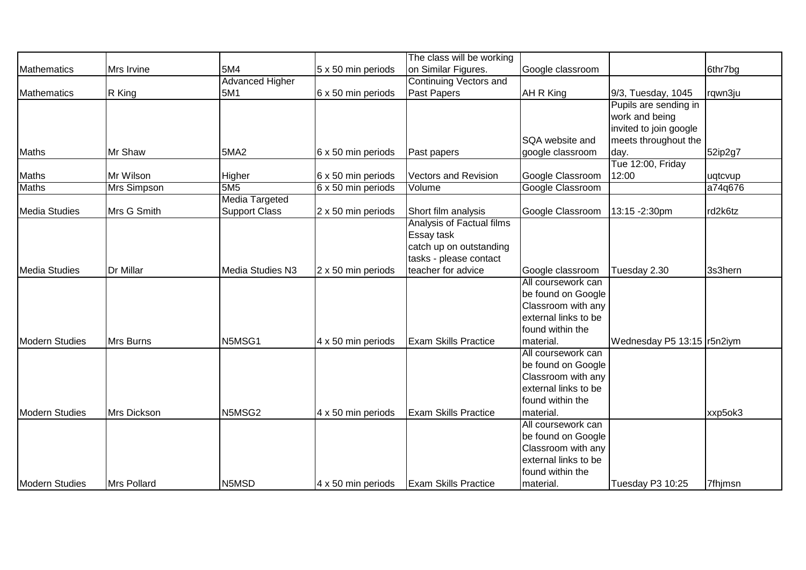|                       |                    |                        |                           | The class will be working     |                      |                              |         |
|-----------------------|--------------------|------------------------|---------------------------|-------------------------------|----------------------|------------------------------|---------|
| Mathematics           | Mrs Irvine         | 5M4                    | 5 x 50 min periods        | on Similar Figures.           | Google classroom     |                              | 6thr7bg |
|                       |                    | <b>Advanced Higher</b> |                           | <b>Continuing Vectors and</b> |                      |                              |         |
| Mathematics           | R King             | 5M1                    | 6 x 50 min periods        | Past Papers                   | AH R King            | 9/3, Tuesday, 1045           | rqwn3ju |
|                       |                    |                        |                           |                               |                      | Pupils are sending in        |         |
|                       |                    |                        |                           |                               |                      | work and being               |         |
|                       |                    |                        |                           |                               |                      | invited to join google       |         |
|                       |                    |                        |                           |                               | SQA website and      | meets throughout the         |         |
| Maths                 | Mr Shaw            | <b>5MA2</b>            | 6 x 50 min periods        | Past papers                   | google classroom     | day.                         | 52ip2g7 |
|                       |                    |                        |                           |                               |                      | Tue 12:00, Friday            |         |
| Maths                 | Mr Wilson          | Higher                 | 6 x 50 min periods        | <b>Vectors and Revision</b>   | Google Classroom     | 12:00                        | uqtcvup |
| <b>Maths</b>          | <b>Mrs Simpson</b> | 5M <sub>5</sub>        | 6 x 50 min periods        | Volume                        | Google Classroom     |                              | a74q676 |
|                       |                    | <b>Media Targeted</b>  |                           |                               |                      |                              |         |
| Media Studies         | Mrs G Smith        | <b>Support Class</b>   | 2 x 50 min periods        | Short film analysis           | Google Classroom     | 13:15 - 2:30pm               | rd2k6tz |
|                       |                    |                        |                           | Analysis of Factual films     |                      |                              |         |
|                       |                    |                        |                           | Essay task                    |                      |                              |         |
|                       |                    |                        |                           | catch up on outstanding       |                      |                              |         |
|                       |                    |                        |                           | tasks - please contact        |                      |                              |         |
| Media Studies         | Dr Millar          | Media Studies N3       | 2 x 50 min periods        | teacher for advice            | Google classroom     | Tuesday 2.30                 | 3s3hern |
|                       |                    |                        |                           |                               | All coursework can   |                              |         |
|                       |                    |                        |                           |                               | be found on Google   |                              |         |
|                       |                    |                        |                           |                               | Classroom with any   |                              |         |
|                       |                    |                        |                           |                               | external links to be |                              |         |
|                       |                    |                        |                           |                               | found within the     |                              |         |
| Modern Studies        | Mrs Burns          | N5MSG1                 | 4 x 50 min periods        | <b>Exam Skills Practice</b>   | material.            | Wednesday P5 13:15   r5n2iym |         |
|                       |                    |                        |                           |                               | All coursework can   |                              |         |
|                       |                    |                        |                           |                               | be found on Google   |                              |         |
|                       |                    |                        |                           |                               | Classroom with any   |                              |         |
|                       |                    |                        |                           |                               | external links to be |                              |         |
|                       |                    |                        |                           |                               | found within the     |                              |         |
| <b>Modern Studies</b> | Mrs Dickson        | N5MSG2                 | 4 x 50 min periods        | <b>Exam Skills Practice</b>   | material.            |                              | xxp5ok3 |
|                       |                    |                        |                           |                               | All coursework can   |                              |         |
|                       |                    |                        |                           |                               | be found on Google   |                              |         |
|                       |                    |                        |                           |                               | Classroom with any   |                              |         |
|                       |                    |                        |                           |                               | external links to be |                              |         |
|                       |                    |                        |                           |                               | found within the     |                              |         |
| <b>Modern Studies</b> | Mrs Pollard        | N5MSD                  | $4 \times 50$ min periods | <b>Exam Skills Practice</b>   | material.            | Tuesday P3 10:25             | 7fhimsn |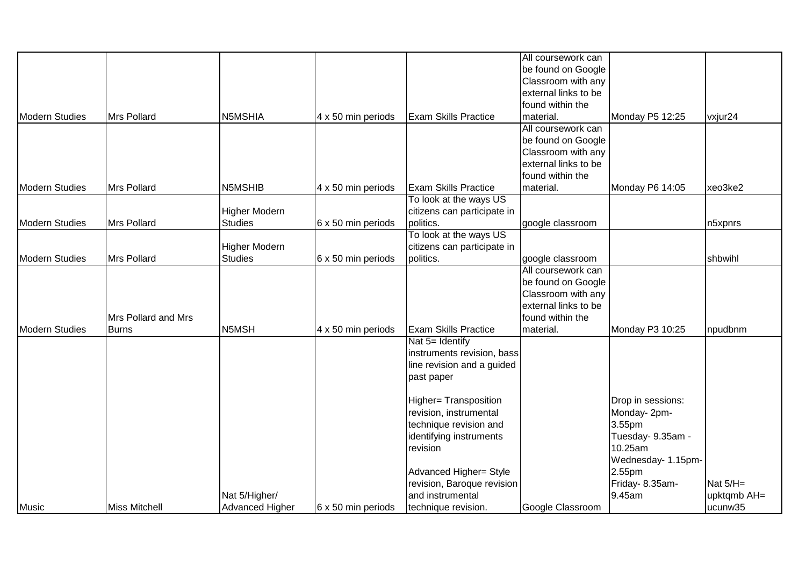|                       |                      |                        |                    |                                     | All coursework can   |                              |             |
|-----------------------|----------------------|------------------------|--------------------|-------------------------------------|----------------------|------------------------------|-------------|
|                       |                      |                        |                    |                                     | be found on Google   |                              |             |
|                       |                      |                        |                    |                                     | Classroom with any   |                              |             |
|                       |                      |                        |                    |                                     | external links to be |                              |             |
|                       |                      |                        |                    |                                     | found within the     |                              |             |
| Modern Studies        | Mrs Pollard          | N5MSHIA                | 4 x 50 min periods | <b>Exam Skills Practice</b>         | material.            | Monday P5 12:25              | vxjur24     |
|                       |                      |                        |                    |                                     | All coursework can   |                              |             |
|                       |                      |                        |                    |                                     | be found on Google   |                              |             |
|                       |                      |                        |                    |                                     | Classroom with any   |                              |             |
|                       |                      |                        |                    |                                     | external links to be |                              |             |
|                       |                      |                        |                    |                                     | found within the     |                              |             |
| Modern Studies        | Mrs Pollard          | N5MSHIB                | 4 x 50 min periods | <b>Exam Skills Practice</b>         | material.            | Monday P6 14:05              | xeo3ke2     |
|                       |                      |                        |                    | To look at the ways US              |                      |                              |             |
|                       |                      | <b>Higher Modern</b>   |                    | citizens can participate in         |                      |                              |             |
| <b>Modern Studies</b> | Mrs Pollard          | <b>Studies</b>         | 6 x 50 min periods | politics.                           | google classroom     |                              | n5xpnrs     |
|                       |                      |                        |                    | To look at the ways US              |                      |                              |             |
|                       |                      | <b>Higher Modern</b>   |                    | citizens can participate in         |                      |                              |             |
| <b>Modern Studies</b> | Mrs Pollard          | <b>Studies</b>         | 6 x 50 min periods | politics.                           | google classroom     |                              | shbwihl     |
|                       |                      |                        |                    |                                     | All coursework can   |                              |             |
|                       |                      |                        |                    |                                     | be found on Google   |                              |             |
|                       |                      |                        |                    |                                     | Classroom with any   |                              |             |
|                       |                      |                        |                    |                                     | external links to be |                              |             |
|                       | Mrs Pollard and Mrs  |                        |                    |                                     | found within the     |                              |             |
| <b>Modern Studies</b> | <b>IBurns</b>        | N5MSH                  | 4 x 50 min periods | <b>Exam Skills Practice</b>         | material.            | Monday P3 10:25              | npudbnm     |
|                       |                      |                        |                    | Nat 5= Identify                     |                      |                              |             |
|                       |                      |                        |                    | instruments revision, bass          |                      |                              |             |
|                       |                      |                        |                    | line revision and a guided          |                      |                              |             |
|                       |                      |                        |                    | past paper                          |                      |                              |             |
|                       |                      |                        |                    | <b>Higher= Transposition</b>        |                      | Drop in sessions:            |             |
|                       |                      |                        |                    | revision, instrumental              |                      | Monday-2pm-                  |             |
|                       |                      |                        |                    | technique revision and              |                      | 3.55pm                       |             |
|                       |                      |                        |                    |                                     |                      |                              |             |
|                       |                      |                        |                    | identifying instruments<br>revision |                      | Tuesday- 9.35am -<br>10.25am |             |
|                       |                      |                        |                    |                                     |                      |                              |             |
|                       |                      |                        |                    |                                     |                      | Wednesday- 1.15pm-           |             |
|                       |                      |                        |                    | Advanced Higher= Style              |                      | 2.55pm                       |             |
|                       |                      |                        |                    | revision, Baroque revision          |                      | Friday- 8.35am-              | Nat $5/H=$  |
|                       |                      | Nat 5/Higher/          |                    | and instrumental                    |                      | 9.45am                       | upktqmb AH= |
| Music                 | <b>Miss Mitchell</b> | <b>Advanced Higher</b> | 6 x 50 min periods | technique revision.                 | Google Classroom     |                              | ucunw35     |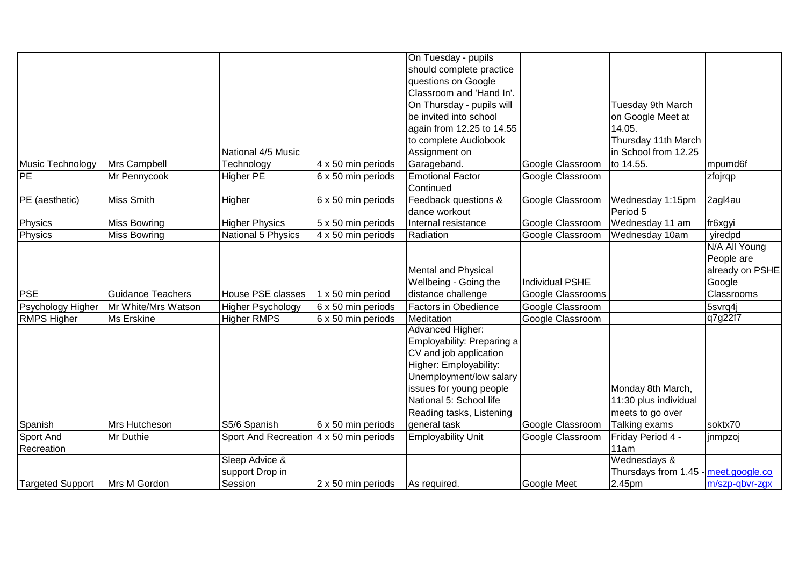|                    |                          |                                                |                           | On Tuesday - pupils        |                   |                                      |                       |
|--------------------|--------------------------|------------------------------------------------|---------------------------|----------------------------|-------------------|--------------------------------------|-----------------------|
|                    |                          |                                                |                           | should complete practice   |                   |                                      |                       |
|                    |                          |                                                |                           | questions on Google        |                   |                                      |                       |
|                    |                          |                                                |                           | Classroom and 'Hand In'.   |                   |                                      |                       |
|                    |                          |                                                |                           | On Thursday - pupils will  |                   | Tuesday 9th March                    |                       |
|                    |                          |                                                |                           | be invited into school     |                   | on Google Meet at                    |                       |
|                    |                          |                                                |                           | again from 12.25 to 14.55  |                   | 14.05.                               |                       |
|                    |                          |                                                |                           | to complete Audiobook      |                   | Thursday 11th March                  |                       |
|                    |                          | National 4/5 Music                             |                           | Assignment on              |                   | in School from 12.25                 |                       |
| Music Technology   | Mrs Campbell             | Technology                                     | 4 x 50 min periods        | Garageband.                | Google Classroom  | to 14.55.                            | mpumd6f               |
| <b>IPE</b>         | Mr Pennycook             | <b>Higher PE</b>                               | $6 \times 50$ min periods | <b>Emotional Factor</b>    | Google Classroom  |                                      | zfojrqp               |
|                    |                          |                                                |                           | Continued                  |                   |                                      |                       |
| PE (aesthetic)     | <b>Miss Smith</b>        | Higher                                         | 6 x 50 min periods        | Feedback questions &       | Google Classroom  | Wednesday 1:15pm                     | 2agl4au               |
|                    |                          |                                                |                           | dance workout              |                   | Period 5                             |                       |
| <b>Physics</b>     | <b>Miss Bowring</b>      | <b>Higher Physics</b>                          | 5 x 50 min periods        | Internal resistance        | Google Classroom  | Wednesday 11 am                      | fr6xgyi               |
| <b>Physics</b>     | <b>Miss Bowring</b>      | National 5 Physics                             | 4 x 50 min periods        | Radiation                  | Google Classroom  | Wednesday 10am                       | yiredpd               |
|                    |                          |                                                |                           |                            |                   |                                      | N/A All Young         |
|                    |                          |                                                |                           |                            |                   |                                      | People are            |
|                    |                          |                                                |                           | Mental and Physical        |                   |                                      | already on PSHE       |
|                    |                          |                                                |                           | Wellbeing - Going the      | Individual PSHE   |                                      | Google                |
| <b>PSE</b>         | <b>Guidance Teachers</b> | <b>House PSE classes</b>                       | 1 x 50 min period         | distance challenge         | Google Classrooms |                                      | Classrooms            |
| Psychology Higher  | Mr White/Mrs Watson      | <b>Higher Psychology</b>                       | 6 x 50 min periods        | Factors in Obedience       | Google Classroom  |                                      | $\overline{5}$ svrq4j |
| <b>RMPS Higher</b> | <b>Ms Erskine</b>        | <b>Higher RMPS</b>                             | 6 x 50 min periods        | Meditation                 | Google Classroom  |                                      | q7g22f7               |
|                    |                          |                                                |                           | Advanced Higher:           |                   |                                      |                       |
|                    |                          |                                                |                           | Employability: Preparing a |                   |                                      |                       |
|                    |                          |                                                |                           | CV and job application     |                   |                                      |                       |
|                    |                          |                                                |                           | Higher: Employability:     |                   |                                      |                       |
|                    |                          |                                                |                           | Unemployment/low salary    |                   |                                      |                       |
|                    |                          |                                                |                           | issues for young people    |                   | Monday 8th March,                    |                       |
|                    |                          |                                                |                           | National 5: School life    |                   | 11:30 plus individual                |                       |
|                    |                          |                                                |                           | Reading tasks, Listening   |                   | meets to go over                     |                       |
| Spanish            | Mrs Hutcheson            | S5/6 Spanish                                   | 6 x 50 min periods        | general task               | Google Classroom  | Talking exams                        | soktx70               |
| Sport And          | Mr Duthie                | Sport And Recreation $4 \times 50$ min periods |                           | Employability Unit         | Google Classroom  | Friday Period 4 -                    | jnmpzoj               |
| Recreation         |                          |                                                |                           |                            |                   | 11am                                 |                       |
|                    |                          | Sleep Advice &                                 |                           |                            |                   | Wednesdays &                         |                       |
|                    |                          | support Drop in                                |                           |                            |                   | Thursdays from 1.45 - meet.google.co |                       |
| Targeted Support   | Mrs M Gordon             | Session                                        | 2 x 50 min periods        | As required.               | Google Meet       | 2.45pm                               | m/szp-gbvr-zgx        |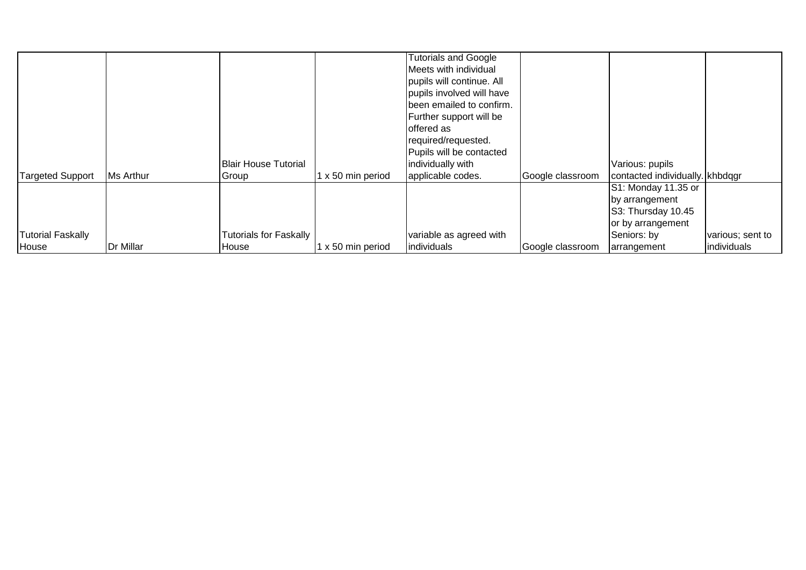|                          |           |                               |                          | <b>Tutorials and Google</b> |                  |                                 |                  |
|--------------------------|-----------|-------------------------------|--------------------------|-----------------------------|------------------|---------------------------------|------------------|
|                          |           |                               |                          | Meets with individual       |                  |                                 |                  |
|                          |           |                               |                          | pupils will continue. All   |                  |                                 |                  |
|                          |           |                               |                          | pupils involved will have   |                  |                                 |                  |
|                          |           |                               |                          | been emailed to confirm.    |                  |                                 |                  |
|                          |           |                               |                          | Further support will be     |                  |                                 |                  |
|                          |           |                               |                          | offered as                  |                  |                                 |                  |
|                          |           |                               |                          | required/requested.         |                  |                                 |                  |
|                          |           |                               |                          | Pupils will be contacted    |                  |                                 |                  |
|                          |           | <b>Blair House Tutorial</b>   |                          | individually with           |                  | Various: pupils                 |                  |
| <b>Targeted Support</b>  | Ms Arthur | Group                         | $1 \times 50$ min period | applicable codes.           | Google classroom | contacted individually. khbdqgr |                  |
|                          |           |                               |                          |                             |                  | S1: Monday 11.35 or             |                  |
|                          |           |                               |                          |                             |                  | by arrangement                  |                  |
|                          |           |                               |                          |                             |                  | S3: Thursday 10.45              |                  |
|                          |           |                               |                          |                             |                  | or by arrangement               |                  |
| <b>Tutorial Faskally</b> |           | <b>Tutorials for Faskally</b> |                          | variable as agreed with     |                  | Seniors: by                     | various; sent to |
| House                    | Dr Millar | House                         | 1 x 50 min period        | <i>individuals</i>          | Google classroom | arrangement                     | individuals      |